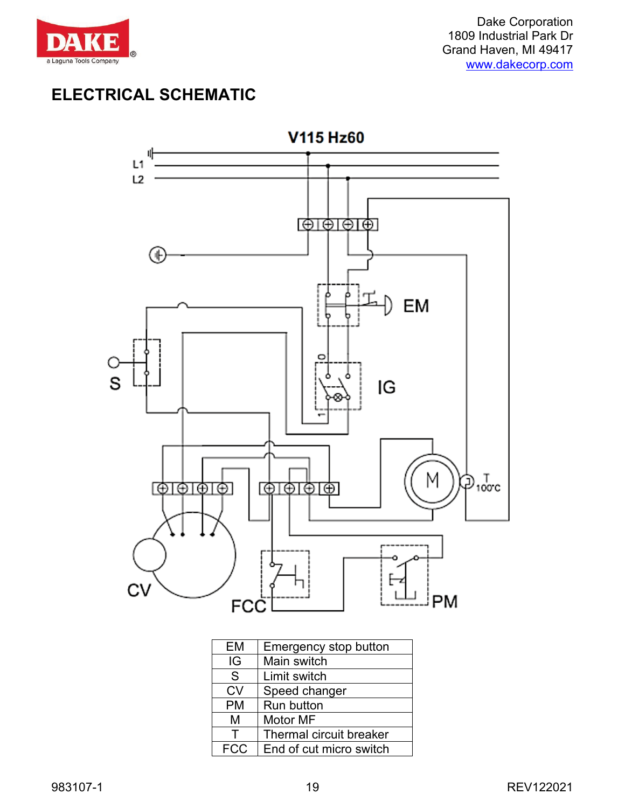

## **ELECTRICAL SCHEMATIC**



| <b>EM</b>  | Emergency stop button   |
|------------|-------------------------|
| IG         | Main switch             |
| S          | Limit switch            |
| <b>CV</b>  | Speed changer           |
| <b>PM</b>  | Run button              |
| М          | Motor MF                |
| Т          | Thermal circuit breaker |
| <b>FCC</b> | End of cut micro switch |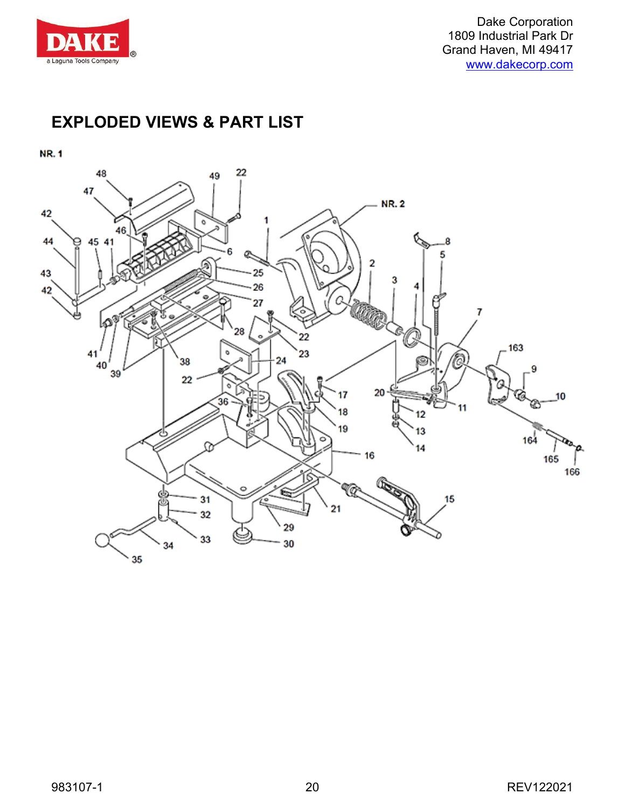

## **EXPLODED VIEWS & PART LIST**

**NR.1** 

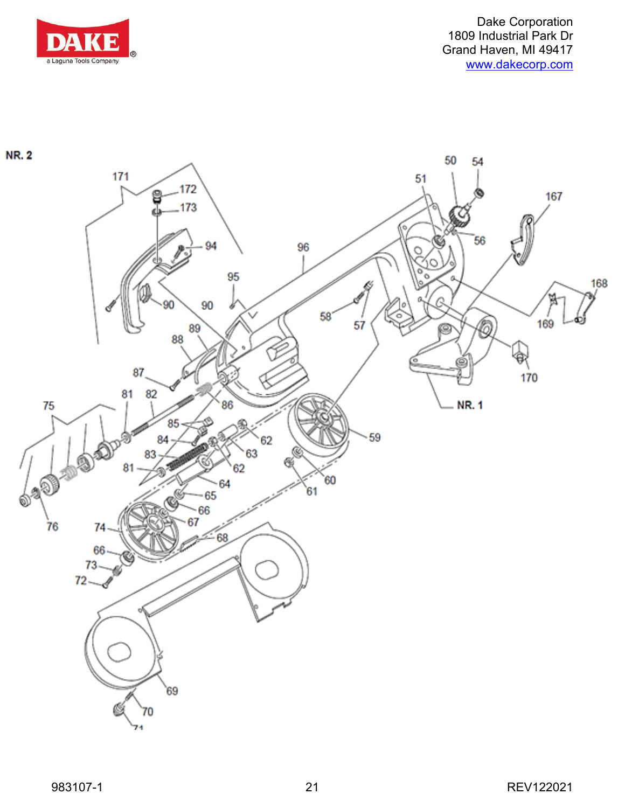

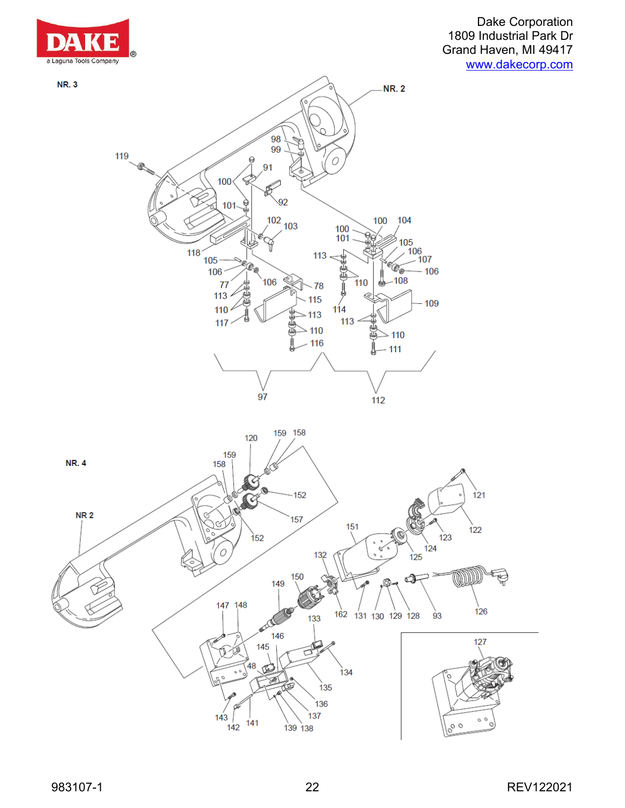

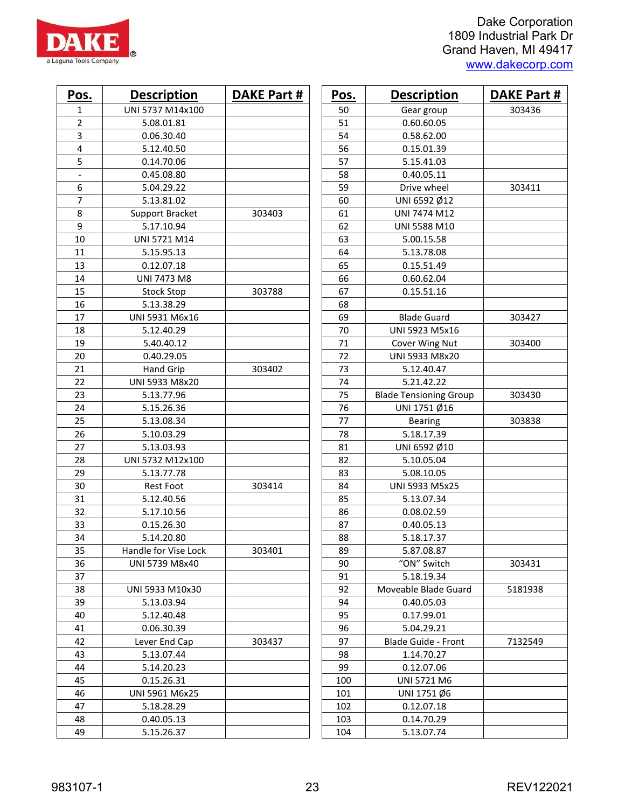| Pos.                     | <b>Description</b>   | <b>DAKE Part #</b> | Pos. | <b>Description</b>            | <b>DAKE Part #</b> |
|--------------------------|----------------------|--------------------|------|-------------------------------|--------------------|
| 1                        | UNI 5737 M14x100     |                    | 50   | Gear group                    | 303436             |
| 2                        | 5.08.01.81           |                    | 51   | 0.60.60.05                    |                    |
| 3                        | 0.06.30.40           |                    | 54   | 0.58.62.00                    |                    |
| 4                        | 5.12.40.50           |                    | 56   | 0.15.01.39                    |                    |
| 5                        | 0.14.70.06           |                    | 57   | 5.15.41.03                    |                    |
| $\overline{\phantom{a}}$ | 0.45.08.80           |                    | 58   | 0.40.05.11                    |                    |
| 6                        | 5.04.29.22           |                    | 59   | Drive wheel                   | 303411             |
| $\overline{7}$           | 5.13.81.02           |                    | 60   | UNI 6592 Ø12                  |                    |
| 8                        | Support Bracket      | 303403             | 61   | UNI 7474 M12                  |                    |
| 9                        | 5.17.10.94           |                    | 62   | UNI 5588 M10                  |                    |
| 10                       | UNI 5721 M14         |                    | 63   | 5.00.15.58                    |                    |
| 11                       | 5.15.95.13           |                    | 64   | 5.13.78.08                    |                    |
| 13                       | 0.12.07.18           |                    | 65   | 0.15.51.49                    |                    |
| 14                       | <b>UNI 7473 M8</b>   |                    | 66   | 0.60.62.04                    |                    |
| 15                       | <b>Stock Stop</b>    | 303788             | 67   | 0.15.51.16                    |                    |
| 16                       | 5.13.38.29           |                    | 68   |                               |                    |
| 17                       | UNI 5931 M6x16       |                    | 69   | <b>Blade Guard</b>            | 303427             |
| 18                       | 5.12.40.29           |                    | 70   | UNI 5923 M5x16                |                    |
| 19                       | 5.40.40.12           |                    | 71   | Cover Wing Nut                | 303400             |
| 20                       | 0.40.29.05           |                    | 72   | UNI 5933 M8x20                |                    |
| 21                       | Hand Grip            | 303402             | 73   | 5.12.40.47                    |                    |
| 22                       | UNI 5933 M8x20       |                    | 74   | 5.21.42.22                    |                    |
| 23                       | 5.13.77.96           |                    | 75   | <b>Blade Tensioning Group</b> | 303430             |
| 24                       | 5.15.26.36           |                    | 76   | UNI 1751 Ø16                  |                    |
| 25                       | 5.13.08.34           |                    | 77   | <b>Bearing</b>                | 303838             |
| 26                       | 5.10.03.29           |                    | 78   | 5.18.17.39                    |                    |
| 27                       | 5.13.03.93           |                    | 81   | UNI 6592 Ø10                  |                    |
| 28                       | UNI 5732 M12x100     |                    | 82   | 5.10.05.04                    |                    |
| 29                       | 5.13.77.78           |                    | 83   | 5.08.10.05                    |                    |
| 30                       | <b>Rest Foot</b>     | 303414             | 84   | UNI 5933 M5x25                |                    |
| 31                       | 5.12.40.56           |                    | 85   | 5.13.07.34                    |                    |
| 32                       | 5.17.10.56           |                    | 86   | 0.08.02.59                    |                    |
| 33                       | 0.15.26.30           |                    | 87   | 0.40.05.13                    |                    |
| 34                       | 5.14.20.80           |                    | 88   | 5.18.17.37                    |                    |
| 35                       | Handle for Vise Lock | 303401             | 89   | 5.87.08.87                    |                    |
| 36                       | UNI 5739 M8x40       |                    | 90   | "ON" Switch                   | 303431             |
| 37                       |                      |                    | 91   | 5.18.19.34                    |                    |
| 38                       | UNI 5933 M10x30      |                    | 92   | Moveable Blade Guard          | 5181938            |
| 39                       | 5.13.03.94           |                    | 94   | 0.40.05.03                    |                    |
| 40                       | 5.12.40.48           |                    | 95   | 0.17.99.01                    |                    |
| 41                       | 0.06.30.39           |                    | 96   | 5.04.29.21                    |                    |
| 42                       | Lever End Cap        | 303437             | 97   | Blade Guide - Front           | 7132549            |
| 43                       | 5.13.07.44           |                    | 98   | 1.14.70.27                    |                    |
| 44                       | 5.14.20.23           |                    | 99   | 0.12.07.06                    |                    |
| 45                       | 0.15.26.31           |                    | 100  | UNI 5721 M6                   |                    |
| 46                       | UNI 5961 M6x25       |                    | 101  | UNI 1751 Ø6                   |                    |
| 47                       | 5.18.28.29           |                    | 102  | 0.12.07.18                    |                    |
| 48                       | 0.40.05.13           |                    | 103  | 0.14.70.29                    |                    |
| 49                       | 5.15.26.37           |                    | 104  | 5.13.07.74                    |                    |